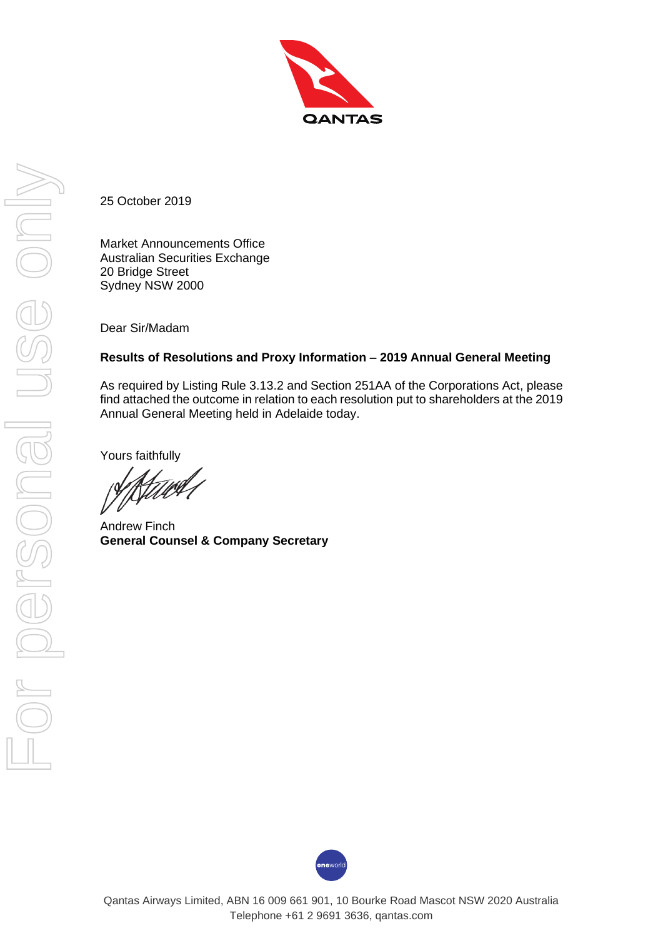

25 October 2019

Market Announcements Office Australian Securities Exchange 20 Bridge Street Sydney NSW 2000

Dear Sir/Madam

## **Results of Resolutions and Proxy Information** − **2019 Annual General Meeting**

As required by Listing Rule 3.13.2 and Section 251AA of the Corporations Act, please find attached the outcome in relation to each resolution put to shareholders at the 2019 Annual General Meeting held in Adelaide today.

Yours faithfully

Hurt (

Andrew Finch **General Counsel & Company Secretary**

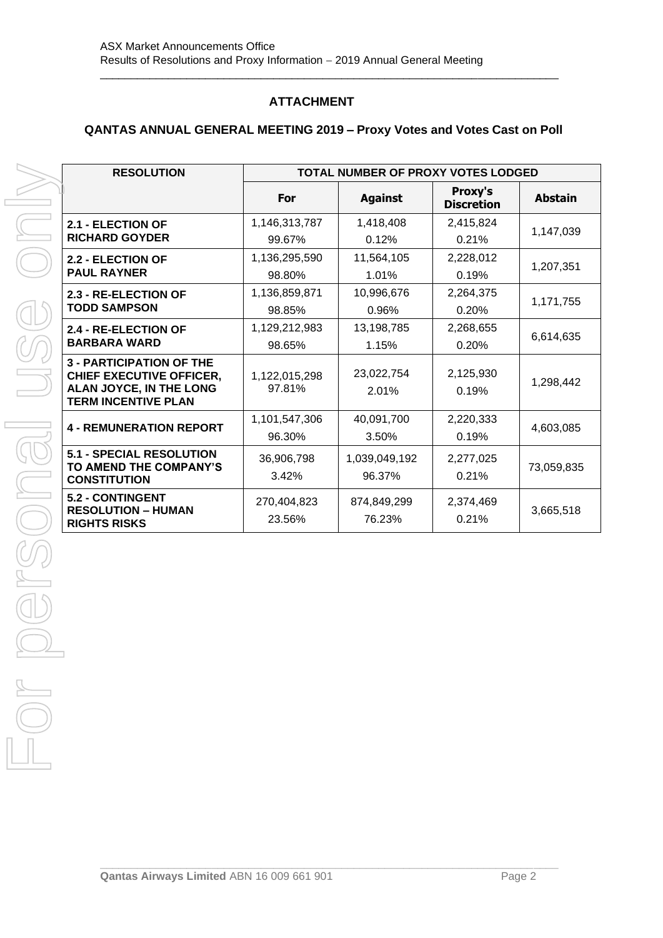## **ATTACHMENT**

## **QANTAS ANNUAL GENERAL MEETING 2019 – Proxy Votes and Votes Cast on Poll**

\_\_\_\_\_\_\_\_\_\_\_\_\_\_\_\_\_\_\_\_\_\_\_\_\_\_\_\_\_\_\_\_\_\_\_\_\_\_\_\_\_\_\_\_\_\_\_\_\_\_\_\_\_\_\_\_\_\_\_\_\_\_\_\_\_\_\_\_\_\_\_\_\_\_

| <b>RESOLUTION</b>                                                                                                           | <b>TOTAL NUMBER OF PROXY VOTES LODGED</b> |                         |                              |                |
|-----------------------------------------------------------------------------------------------------------------------------|-------------------------------------------|-------------------------|------------------------------|----------------|
|                                                                                                                             | For                                       | <b>Against</b>          | Proxy's<br><b>Discretion</b> | <b>Abstain</b> |
| 2.1 - ELECTION OF<br><b>RICHARD GOYDER</b>                                                                                  | 1,146,313,787<br>99.67%                   | 1,418,408<br>0.12%      | 2,415,824<br>0.21%           | 1,147,039      |
| 2.2 - ELECTION OF<br><b>PAUL RAYNER</b>                                                                                     | 1,136,295,590<br>98.80%                   | 11,564,105<br>1.01%     | 2,228,012<br>0.19%           | 1,207,351      |
| 2.3 - RE-ELECTION OF<br><b>TODD SAMPSON</b>                                                                                 | 1,136,859,871<br>98.85%                   | 10,996,676<br>0.96%     | 2,264,375<br>0.20%           | 1,171,755      |
| 2.4 - RE-ELECTION OF<br><b>BARBARA WARD</b>                                                                                 | 1,129,212,983<br>98.65%                   | 13,198,785<br>1.15%     | 2,268,655<br>0.20%           | 6,614,635      |
| <b>3 - PARTICIPATION OF THE</b><br><b>CHIEF EXECUTIVE OFFICER,</b><br>ALAN JOYCE, IN THE LONG<br><b>TERM INCENTIVE PLAN</b> | 1,122,015,298<br>97.81%                   | 23,022,754<br>2.01%     | 2,125,930<br>0.19%           | 1,298,442      |
| <b>4 - REMUNERATION REPORT</b>                                                                                              | 1,101,547,306<br>96.30%                   | 40,091,700<br>3.50%     | 2,220,333<br>0.19%           | 4,603,085      |
| <b>5.1 - SPECIAL RESOLUTION</b><br>TO AMEND THE COMPANY'S<br><b>CONSTITUTION</b>                                            | 36,906,798<br>3.42%                       | 1,039,049,192<br>96.37% | 2,277,025<br>0.21%           | 73,059,835     |
| <b>5.2 - CONTINGENT</b><br><b>RESOLUTION - HUMAN</b><br><b>RIGHTS RISKS</b>                                                 | 270,404,823<br>23.56%                     | 874,849,299<br>76.23%   | 2,374,469<br>0.21%           | 3,665,518      |